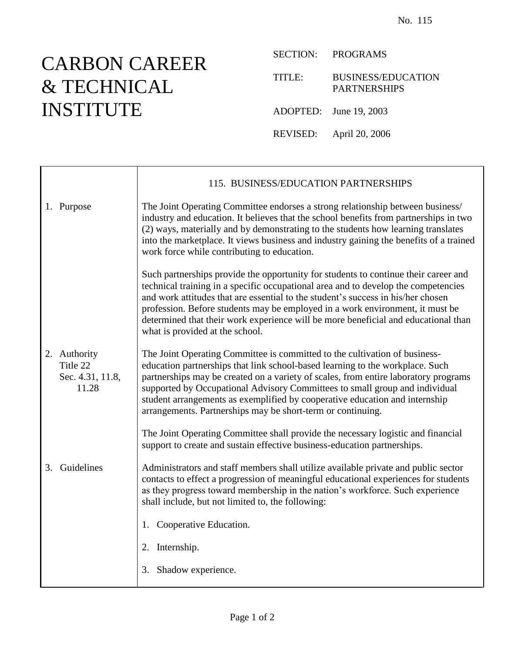## CARBON CAREER & TECHNICAL INSTITUTE

SECTION: PROGRAMS

TITLE: BUSINESS/EDUCATION PARTNERSHIPS

ADOPTED: June 19, 2003

REVISED: April 20, 2006

|    |                                                       | 115. BUSINESS/EDUCATION PARTNERSHIPS                                                                                                                                                                                                                                                                                                                                                                                                                                            |
|----|-------------------------------------------------------|---------------------------------------------------------------------------------------------------------------------------------------------------------------------------------------------------------------------------------------------------------------------------------------------------------------------------------------------------------------------------------------------------------------------------------------------------------------------------------|
|    | 1. Purpose                                            | The Joint Operating Committee endorses a strong relationship between business/<br>industry and education. It believes that the school benefits from partnerships in two<br>(2) ways, materially and by demonstrating to the students how learning translates<br>into the marketplace. It views business and industry gaining the benefits of a trained<br>work force while contributing to education.                                                                           |
|    |                                                       | Such partnerships provide the opportunity for students to continue their career and<br>technical training in a specific occupational area and to develop the competencies<br>and work attitudes that are essential to the student's success in his/her chosen<br>profession. Before students may be employed in a work environment, it must be<br>determined that their work experience will be more beneficial and educational than<br>what is provided at the school.         |
|    | 2. Authority<br>Title 22<br>Sec. 4.31, 11.8,<br>11.28 | The Joint Operating Committee is committed to the cultivation of business-<br>education partnerships that link school-based learning to the workplace. Such<br>partnerships may be created on a variety of scales, from entire laboratory programs<br>supported by Occupational Advisory Committees to small group and individual<br>student arrangements as exemplified by cooperative education and internship<br>arrangements. Partnerships may be short-term or continuing. |
|    |                                                       | The Joint Operating Committee shall provide the necessary logistic and financial<br>support to create and sustain effective business-education partnerships.                                                                                                                                                                                                                                                                                                                    |
| 3. | Guidelines                                            | Administrators and staff members shall utilize available private and public sector<br>contacts to effect a progression of meaningful educational experiences for students<br>as they progress toward membership in the nation's workforce. Such experience<br>shall include, but not limited to, the following:                                                                                                                                                                 |
|    |                                                       | 1. Cooperative Education.                                                                                                                                                                                                                                                                                                                                                                                                                                                       |
|    |                                                       | 2. Internship.                                                                                                                                                                                                                                                                                                                                                                                                                                                                  |
|    |                                                       | 3. Shadow experience.                                                                                                                                                                                                                                                                                                                                                                                                                                                           |